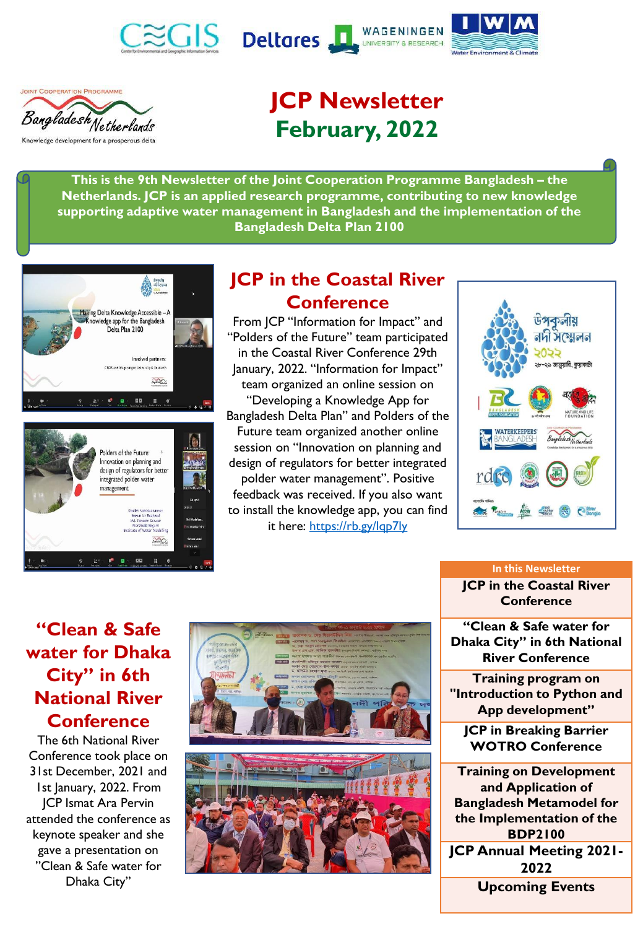







# **JCP Newsletter February, 2022**

**This is the 9th Newsletter of the Joint Cooperation Programme Bangladesh – the Netherlands. JCP is an applied research programme, contributing to new knowledge supporting adaptive water management in Bangladesh and the implementation of the Bangladesh Delta Plan 2100**





# **JCP in the Coastal River Conference**

From JCP "Information for Impact" and "Polders of the Future" team participated in the Coastal River Conference 29th January, 2022. "Information for Impact" team organized an online session on "Developing a Knowledge App for Bangladesh Delta Plan" and Polders of the Future team organized another online session on "Innovation on planning and design of regulators for better integrated polder water management". Positive feedback was received. If you also want to install the knowledge app, you can find it here:<https://rb.gy/lqp7ly>



# **"Clean & Safe water for Dhaka City" in 6th National River Conference**

The 6th National River Conference took place on 31st December, 2021 and 1st January, 2022. From JCP Ismat Ara Pervin attended the conference as keynote speaker and she gave a presentation on "Clean & Safe water for Dhaka City"



#### **In this Newsletter**

**JCP in the Coastal River Conference**

**"Clean & Safe water for Dhaka City" in 6th National River Conference**

**Training program on "Introduction to Python and App development"**

**JCP in Breaking Barrier WOTRO Conference**

**Training on Development and Application of Bangladesh Metamodel for the Implementation of the BDP2100 JCP Annual Meeting 2021- 2022**

**Upcoming Events**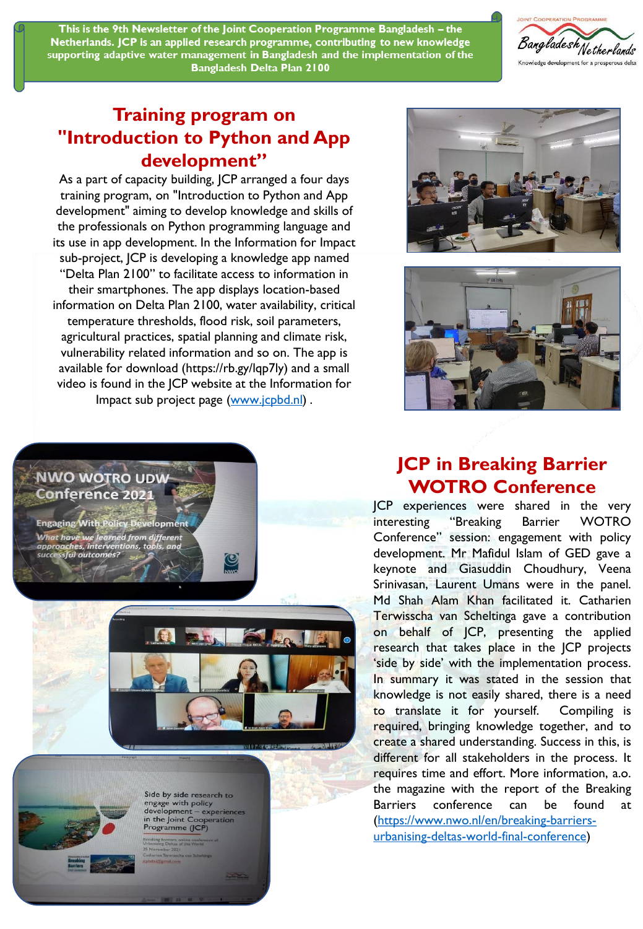This is the 9th Newsletter of the Joint Cooperation Programme Bangladesh - the Netherlands. JCP is an applied research programme, contributing to new knowledge supporting adaptive water management in Bangladesh and the implementation of the **Bangladesh Delta Plan 2100** 



### **Training program on "Introduction to Python and App development"**

As a part of capacity building, JCP arranged a four days training program, on "Introduction to Python and App development" aiming to develop knowledge and skills of the professionals on Python programming language and its use in app development. In the Information for Impact sub-project, JCP is developing a knowledge app named "Delta Plan 2100" to facilitate access to information in their smartphones. The app displays location-based information on Delta Plan 2100, water availability, critical temperature thresholds, flood risk, soil parameters, agricultural practices, spatial planning and climate risk, vulnerability related information and so on. The app is available for download (https://rb.gy/lqp7ly) and a small video is found in the JCP website at the Information for Impact sub project page ([www.jcpbd.nl](http://www.jcpbd.nl/)).





#### **NWO WOTRO UDW Conference 2021**

**Engaging With Policy Development** learned from different What have we ul outcom





Side by side research to engage with policy<br>development – experiences<br>in the Joint Cooperation<br>Programme (JCP)

## **JCP in Breaking Barrier WOTRO Conference**

JCP experiences were shared in the very interesting "Breaking Barrier WOTRO Conference" session: engagement with policy development. Mr Mafidul Islam of GED gave a keynote and Giasuddin Choudhury, Veena Srinivasan, Laurent Umans were in the panel. Md Shah Alam Khan facilitated it. Catharien Terwisscha van Scheltinga gave a contribution on behalf of JCP, presenting the applied research that takes place in the JCP projects 'side by side' with the implementation process. In summary it was stated in the session that knowledge is not easily shared, there is a need to translate it for yourself. Compiling is required, bringing knowledge together, and to create a shared understanding. Success in this, is different for all stakeholders in the process. It requires time and effort. More information, a.o. the magazine with the report of the Breaking Barriers conference can be found at (https://www.nwo.nl/en/breaking-barriers[urbanising-deltas-world-final-conference\)](https://www.nwo.nl/en/breaking-barriers-urbanising-deltas-world-final-conference)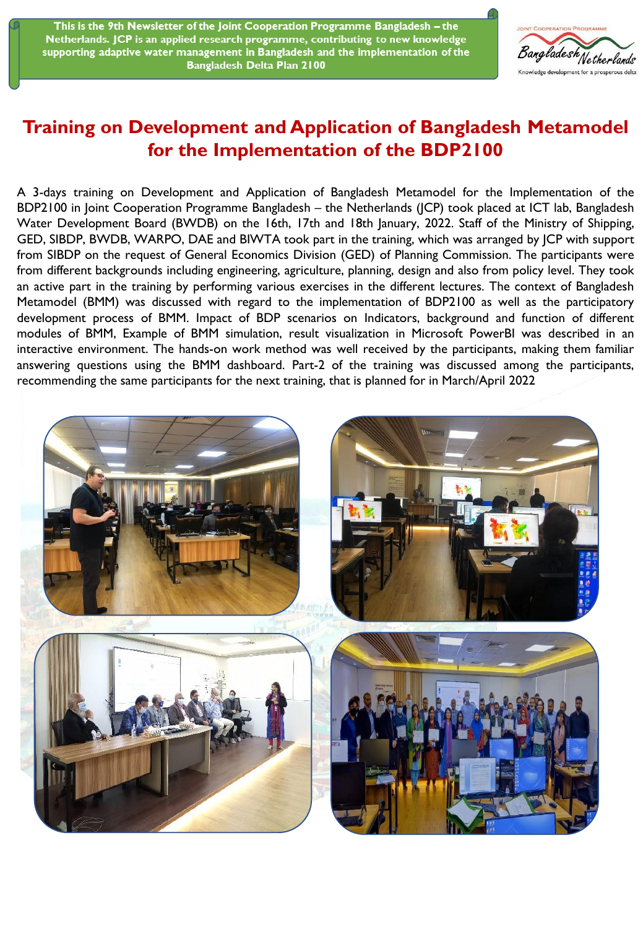This is the 9th Newsletter of the Joint Cooperation Programme Bangladesh - the Netherlands. JCP is an applied research programme, contributing to new knowledge supporting adaptive water management in Bangladesh and the implementation of the **Bangladesh Delta Plan 2100** 



### **Training on Development and Application of Bangladesh Metamodel for the Implementation of the BDP2100**

A 3-days training on Development and Application of Bangladesh Metamodel for the Implementation of the BDP2100 in Joint Cooperation Programme Bangladesh – the Netherlands (JCP) took placed at ICT lab, Bangladesh Water Development Board (BWDB) on the 16th, 17th and 18th January, 2022. Staff of the Ministry of Shipping, GED, SIBDP, BWDB, WARPO, DAE and BIWTA took part in the training, which was arranged by JCP with support from SIBDP on the request of General Economics Division (GED) of Planning Commission. The participants were from different backgrounds including engineering, agriculture, planning, design and also from policy level. They took an active part in the training by performing various exercises in the different lectures. The context of Bangladesh Metamodel (BMM) was discussed with regard to the implementation of BDP2100 as well as the participatory development process of BMM. Impact of BDP scenarios on Indicators, background and function of different modules of BMM, Example of BMM simulation, result visualization in Microsoft PowerBI was described in an interactive environment. The hands-on work method was well received by the participants, making them familiar answering questions using the BMM dashboard. Part-2 of the training was discussed among the participants, recommending the same participants for the next training, that is planned for in March/April 2022.